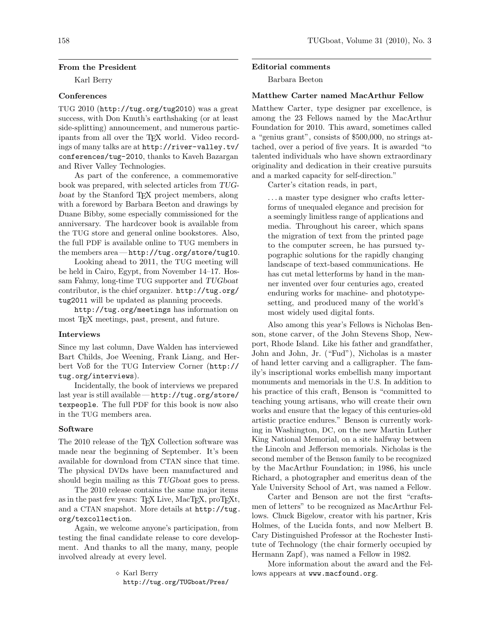### From the President

Karl Berry

## **Conferences**

TUG 2010 (http://tug.org/tug2010) was a great success, with Don Knuth's earthshaking (or at least side-splitting) announcement, and numerous participants from all over the TEX world. Video recordings of many talks are at http://river-valley.tv/ conferences/tug-2010, thanks to Kaveh Bazargan and River Valley Technologies.

As part of the conference, a commemorative book was prepared, with selected articles from TUGboat by the Stanford T<sub>E</sub>X project members, along with a foreword by Barbara Beeton and drawings by Duane Bibby, some especially commissioned for the anniversary. The hardcover book is available from the TUG store and general online bookstores. Also, the full PDF is available online to TUG members in the members area — http://tug.org/store/tug10.

Looking ahead to 2011, the TUG meeting will be held in Cairo, Egypt, from November 14–17. Hossam Fahmy, long-time TUG supporter and TUGboat contributor, is the chief organizer. http://tug.org/ tug2011 will be updated as planning proceeds.

http://tug.org/meetings has information on most T<sub>F</sub>X meetings, past, present, and future.

### Interviews

Since my last column, Dave Walden has interviewed Bart Childs, Joe Weening, Frank Liang, and Herbert Voß for the TUG Interview Corner (http:// tug.org/interviews).

Incidentally, the book of interviews we prepared last year is still available — http://tug.org/store/ texpeople. The full PDF for this book is now also in the TUG members area.

### Software

The 2010 release of the T<sub>EX</sub> Collection software was made near the beginning of September. It's been available for download from CTAN since that time. The physical DVDs have been manufactured and should begin mailing as this TUGboat goes to press.

The 2010 release contains the same major items as in the past few years: TEX Live, MacTEX, proTEXt, and a CTAN snapshot. More details at http://tug. org/texcollection.

Again, we welcome anyone's participation, from testing the final candidate release to core development. And thanks to all the many, many, people involved already at every level.

> Karl Berry http://tug.org/TUGboat/Pres/

#### Editorial comments

Barbara Beeton

### Matthew Carter named MacArthur Fellow

Matthew Carter, type designer par excellence, is among the 23 Fellows named by the MacArthur Foundation for 2010. This award, sometimes called a "genius grant", consists of \$500,000, no strings attached, over a period of five years. It is awarded "to talented individuals who have shown extraordinary originality and dedication in their creative pursuits and a marked capacity for self-direction."

Carter's citation reads, in part,

. . . a master type designer who crafts letterforms of unequaled elegance and precision for a seemingly limitless range of applications and media. Throughout his career, which spans the migration of text from the printed page to the computer screen, he has pursued typographic solutions for the rapidly changing landscape of text-based communications. He has cut metal letterforms by hand in the manner invented over four centuries ago, created enduring works for machine- and phototypesetting, and produced many of the world's most widely used digital fonts.

Also among this year's Fellows is Nicholas Benson, stone carver, of the John Stevens Shop, Newport, Rhode Island. Like his father and grandfather, John and John, Jr. ("Fud"), Nicholas is a master of hand letter carving and a calligrapher. The family's inscriptional works embellish many important monuments and memorials in the U.S. In addition to his practice of this craft, Benson is "committed to teaching young artisans, who will create their own works and ensure that the legacy of this centuries-old artistic practice endures." Benson is currently working in Washington, DC, on the new Martin Luther King National Memorial, on a site halfway between the Lincoln and Jefferson memorials. Nicholas is the second member of the Benson family to be recognized by the MacArthur Foundation; in 1986, his uncle Richard, a photographer and emeritus dean of the Yale University School of Art, was named a Fellow.

Carter and Benson are not the first "craftsmen of letters" to be recognized as MacArthur Fellows. Chuck Bigelow, creator with his partner, Kris Holmes, of the Lucida fonts, and now Melbert B. Cary Distinguished Professor at the Rochester Institute of Technology (the chair formerly occupied by Hermann Zapf), was named a Fellow in 1982.

More information about the award and the Fellows appears at www.macfound.org.